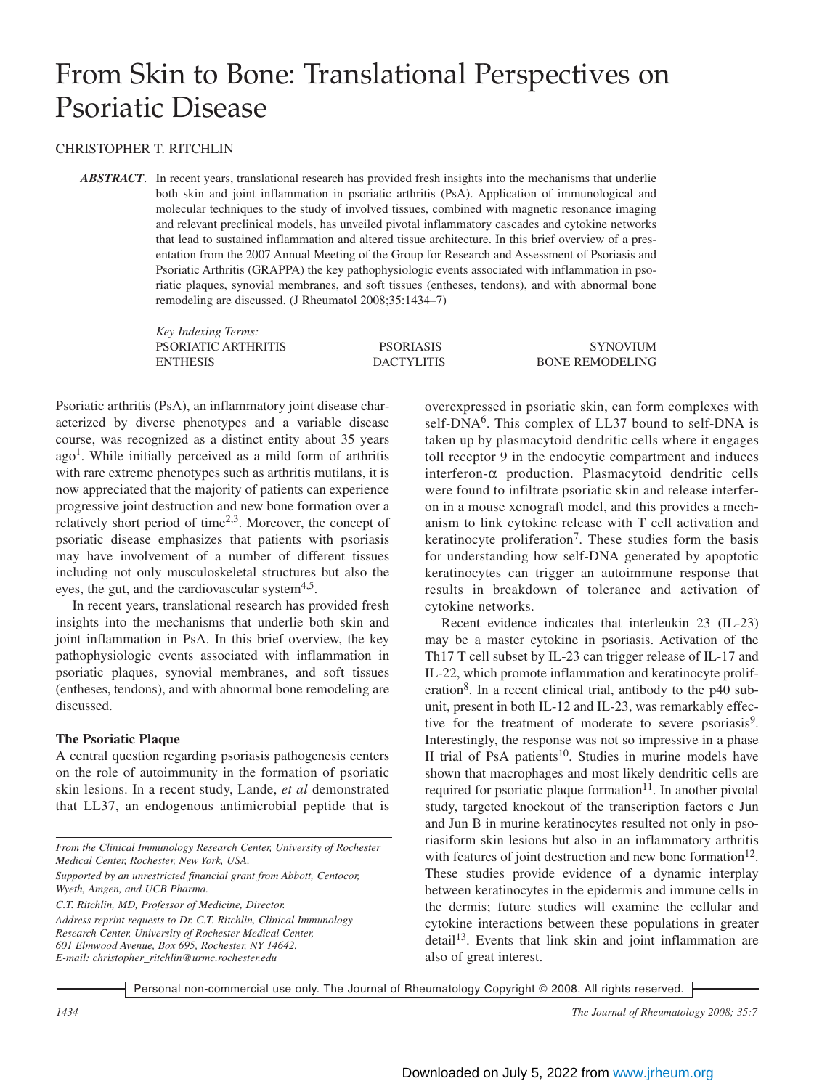# From Skin to Bone: Translational Perspectives on Psoriatic Disease

### CHRISTOPHER T. RITCHLIN

*ABSTRACT*. In recent years, translational research has provided fresh insights into the mechanisms that underlie both skin and joint inflammation in psoriatic arthritis (PsA). Application of immunological and molecular techniques to the study of involved tissues, combined with magnetic resonance imaging and relevant preclinical models, has unveiled pivotal inflammatory cascades and cytokine networks that lead to sustained inflammation and altered tissue architecture. In this brief overview of a presentation from the 2007 Annual Meeting of the Group for Research and Assessment of Psoriasis and Psoriatic Arthritis (GRAPPA) the key pathophysiologic events associated with inflammation in psoriatic plaques, synovial membranes, and soft tissues (entheses, tendons), and with abnormal bone remodeling are discussed. (J Rheumatol 2008;35:1434–7)

> *Key Indexing Terms:* PSORIATIC ARTHRITIS PSORIASIS SYNOVIUM ENTHESIS DACTYLITIS BONE REMODELING

Psoriatic arthritis (PsA), an inflammatory joint disease characterized by diverse phenotypes and a variable disease course, was recognized as a distinct entity about 35 years  $ago<sup>1</sup>$ . While initially perceived as a mild form of arthritis with rare extreme phenotypes such as arthritis mutilans, it is now appreciated that the majority of patients can experience progressive joint destruction and new bone formation over a relatively short period of time $2<sup>3</sup>$ . Moreover, the concept of psoriatic disease emphasizes that patients with psoriasis may have involvement of a number of different tissues including not only musculoskeletal structures but also the eyes, the gut, and the cardiovascular system $4.5$ .

In recent years, translational research has provided fresh insights into the mechanisms that underlie both skin and joint inflammation in PsA. In this brief overview, the key pathophysiologic events associated with inflammation in psoriatic plaques, synovial membranes, and soft tissues (entheses, tendons), and with abnormal bone remodeling are discussed.

#### **The Psoriatic Plaque**

A central question regarding psoriasis pathogenesis centers on the role of autoimmunity in the formation of psoriatic skin lesions. In a recent study, Lande, *et al* demonstrated that LL37, an endogenous antimicrobial peptide that is

*C.T. Ritchlin, MD, Professor of Medicine, Director.*

overexpressed in psoriatic skin, can form complexes with self-DNA<sup>6</sup>. This complex of LL37 bound to self-DNA is taken up by plasmacytoid dendritic cells where it engages toll receptor 9 in the endocytic compartment and induces interferon-α production. Plasmacytoid dendritic cells were found to infiltrate psoriatic skin and release interferon in a mouse xenograft model, and this provides a mechanism to link cytokine release with T cell activation and keratinocyte proliferation<sup>7</sup>. These studies form the basis for understanding how self-DNA generated by apoptotic keratinocytes can trigger an autoimmune response that results in breakdown of tolerance and activation of cytokine networks.

Recent evidence indicates that interleukin 23 (IL-23) may be a master cytokine in psoriasis. Activation of the Th17 T cell subset by IL-23 can trigger release of IL-17 and IL-22, which promote inflammation and keratinocyte proliferation<sup>8</sup>. In a recent clinical trial, antibody to the p40 subunit, present in both IL-12 and IL-23, was remarkably effective for the treatment of moderate to severe psoriasis<sup>9</sup>. Interestingly, the response was not so impressive in a phase II trial of PsA patients $10$ . Studies in murine models have shown that macrophages and most likely dendritic cells are required for psoriatic plaque formation $11$ . In another pivotal study, targeted knockout of the transcription factors c Jun and Jun B in murine keratinocytes resulted not only in psoriasiform skin lesions but also in an inflammatory arthritis with features of joint destruction and new bone formation<sup>12</sup>. These studies provide evidence of a dynamic interplay between keratinocytes in the epidermis and immune cells in the dermis; future studies will examine the cellular and cytokine interactions between these populations in greater  $\rm detail^{13}$ . Events that link skin and joint inflammation are also of great interest.

*From the Clinical Immunology Research Center, University of Rochester Medical Center, Rochester, New York, USA.*

*Supported by an unrestricted financial grant from Abbott, Centocor, Wyeth, Amgen, and UCB Pharma.*

*Address reprint requests to Dr. C.T. Ritchlin, Clinical Immunology Research Center, University of Rochester Medical Center, 601 Elmwood Avenue, Box 695, Rochester, NY 14642. E-mail: christopher\_ritchlin@urmc.rochester.edu*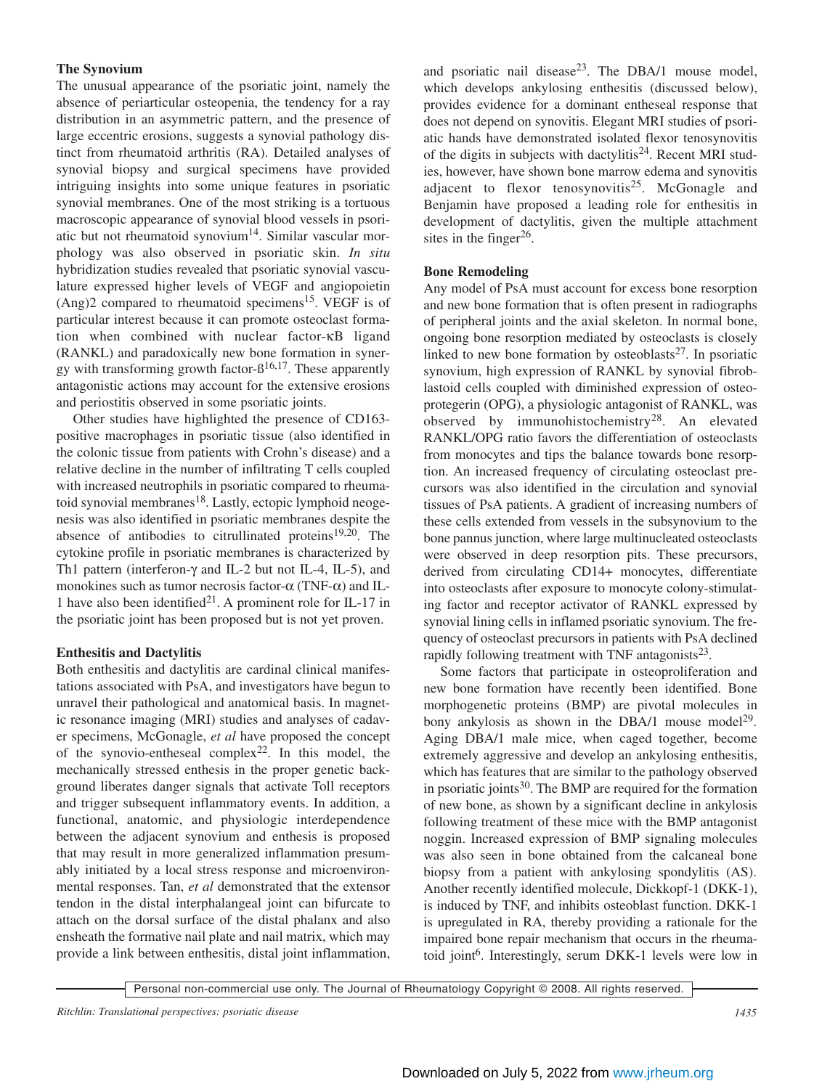# **The Synovium**

The unusual appearance of the psoriatic joint, namely the absence of periarticular osteopenia, the tendency for a ray distribution in an asymmetric pattern, and the presence of large eccentric erosions, suggests a synovial pathology distinct from rheumatoid arthritis (RA). Detailed analyses of synovial biopsy and surgical specimens have provided intriguing insights into some unique features in psoriatic synovial membranes. One of the most striking is a tortuous macroscopic appearance of synovial blood vessels in psoriatic but not rheumatoid synovium<sup>14</sup>. Similar vascular morphology was also observed in psoriatic skin. *In situ* hybridization studies revealed that psoriatic synovial vasculature expressed higher levels of VEGF and angiopoietin  $(Ang)2$  compared to rheumatoid specimens<sup>15</sup>. VEGF is of particular interest because it can promote osteoclast formation when combined with nuclear factor-κB ligand (RANKL) and paradoxically new bone formation in synergy with transforming growth factor- $\beta^{16,17}$ . These apparently antagonistic actions may account for the extensive erosions and periostitis observed in some psoriatic joints.

Other studies have highlighted the presence of CD163 positive macrophages in psoriatic tissue (also identified in the colonic tissue from patients with Crohn's disease) and a relative decline in the number of infiltrating T cells coupled with increased neutrophils in psoriatic compared to rheumatoid synovial membranes<sup>18</sup>. Lastly, ectopic lymphoid neogenesis was also identified in psoriatic membranes despite the absence of antibodies to citrullinated proteins $19,20$ . The cytokine profile in psoriatic membranes is characterized by Th1 pattern (interferon-γ and IL-2 but not IL-4, IL-5), and monokines such as tumor necrosis factor- $\alpha$  (TNF- $\alpha$ ) and IL-1 have also been identified<sup>21</sup>. A prominent role for IL-17 in the psoriatic joint has been proposed but is not yet proven.

# **Enthesitis and Dactylitis**

Both enthesitis and dactylitis are cardinal clinical manifestations associated with PsA, and investigators have begun to unravel their pathological and anatomical basis. In magnetic resonance imaging (MRI) studies and analyses of cadaver specimens, McGonagle, *et al* have proposed the concept of the synovio-entheseal complex<sup>22</sup>. In this model, the mechanically stressed enthesis in the proper genetic background liberates danger signals that activate Toll receptors and trigger subsequent inflammatory events. In addition, a functional, anatomic, and physiologic interdependence between the adjacent synovium and enthesis is proposed that may result in more generalized inflammation presumably initiated by a local stress response and microenvironmental responses. Tan, *et al* demonstrated that the extensor tendon in the distal interphalangeal joint can bifurcate to attach on the dorsal surface of the distal phalanx and also ensheath the formative nail plate and nail matrix, which may provide a link between enthesitis, distal joint inflammation, and psoriatic nail disease<sup>23</sup>. The DBA/1 mouse model, which develops ankylosing enthesitis (discussed below), provides evidence for a dominant entheseal response that does not depend on synovitis. Elegant MRI studies of psoriatic hands have demonstrated isolated flexor tenosynovitis of the digits in subjects with dactylitis<sup>24</sup>. Recent MRI studies, however, have shown bone marrow edema and synovitis adjacent to flexor tenosynovitis<sup>25</sup>. McGonagle and Benjamin have proposed a leading role for enthesitis in development of dactylitis, given the multiple attachment sites in the finger $26$ .

# **Bone Remodeling**

Any model of PsA must account for excess bone resorption and new bone formation that is often present in radiographs of peripheral joints and the axial skeleton. In normal bone, ongoing bone resorption mediated by osteoclasts is closely linked to new bone formation by osteoblasts $27$ . In psoriatic synovium, high expression of RANKL by synovial fibroblastoid cells coupled with diminished expression of osteoprotegerin (OPG), a physiologic antagonist of RANKL, was observed by immunohistochemistry28. An elevated RANKL/OPG ratio favors the differentiation of osteoclasts from monocytes and tips the balance towards bone resorption. An increased frequency of circulating osteoclast precursors was also identified in the circulation and synovial tissues of PsA patients. A gradient of increasing numbers of these cells extended from vessels in the subsynovium to the bone pannus junction, where large multinucleated osteoclasts were observed in deep resorption pits. These precursors, derived from circulating CD14+ monocytes, differentiate into osteoclasts after exposure to monocyte colony-stimulating factor and receptor activator of RANKL expressed by synovial lining cells in inflamed psoriatic synovium. The frequency of osteoclast precursors in patients with PsA declined rapidly following treatment with TNF antagonists $^{23}$ .

Some factors that participate in osteoproliferation and new bone formation have recently been identified. Bone morphogenetic proteins (BMP) are pivotal molecules in bony ankylosis as shown in the DBA/1 mouse model<sup>29</sup>. Aging DBA/1 male mice, when caged together, become extremely aggressive and develop an ankylosing enthesitis, which has features that are similar to the pathology observed in psoriatic joints $30$ . The BMP are required for the formation of new bone, as shown by a significant decline in ankylosis following treatment of these mice with the BMP antagonist noggin. Increased expression of BMP signaling molecules was also seen in bone obtained from the calcaneal bone biopsy from a patient with ankylosing spondylitis (AS). Another recently identified molecule, Dickkopf-1 (DKK-1), is induced by TNF, and inhibits osteoblast function. DKK-1 is upregulated in RA, thereby providing a rationale for the impaired bone repair mechanism that occurs in the rheumatoid joint<sup>6</sup>. Interestingly, serum DKK-1 levels were low in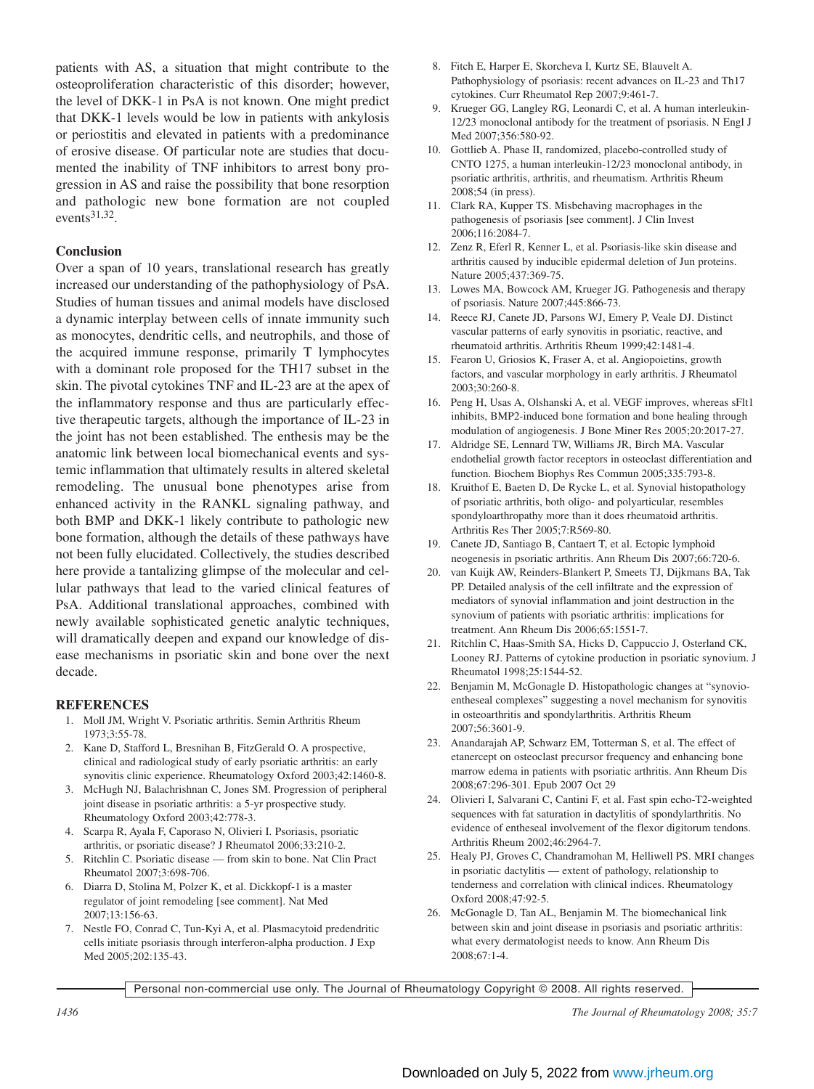patients with AS, a situation that might contribute to the osteoproliferation characteristic of this disorder; however, the level of DKK-1 in PsA is not known. One might predict that DKK-1 levels would be low in patients with ankylosis or periostitis and elevated in patients with a predominance of erosive disease. Of particular note are studies that documented the inability of TNF inhibitors to arrest bony progression in AS and raise the possibility that bone resorption and pathologic new bone formation are not coupled events31,32.

#### **Conclusion**

Over a span of 10 years, translational research has greatly increased our understanding of the pathophysiology of PsA. Studies of human tissues and animal models have disclosed a dynamic interplay between cells of innate immunity such as monocytes, dendritic cells, and neutrophils, and those of the acquired immune response, primarily T lymphocytes with a dominant role proposed for the TH17 subset in the skin. The pivotal cytokines TNF and IL-23 are at the apex of the inflammatory response and thus are particularly effective therapeutic targets, although the importance of IL-23 in the joint has not been established. The enthesis may be the anatomic link between local biomechanical events and systemic inflammation that ultimately results in altered skeletal remodeling. The unusual bone phenotypes arise from enhanced activity in the RANKL signaling pathway, and both BMP and DKK-1 likely contribute to pathologic new bone formation, although the details of these pathways have not been fully elucidated. Collectively, the studies described here provide a tantalizing glimpse of the molecular and cellular pathways that lead to the varied clinical features of PsA. Additional translational approaches, combined with newly available sophisticated genetic analytic techniques, will dramatically deepen and expand our knowledge of disease mechanisms in psoriatic skin and bone over the next decade.

#### **REFERENCES**

- 1. Moll JM, Wright V. Psoriatic arthritis. Semin Arthritis Rheum 1973;3:55-78.
- 2. Kane D, Stafford L, Bresnihan B, FitzGerald O. A prospective, clinical and radiological study of early psoriatic arthritis: an early synovitis clinic experience. Rheumatology Oxford 2003;42:1460-8.
- 3. McHugh NJ, Balachrishnan C, Jones SM. Progression of peripheral joint disease in psoriatic arthritis: a 5-yr prospective study. Rheumatology Oxford 2003;42:778-3.
- 4. Scarpa R, Ayala F, Caporaso N, Olivieri I. Psoriasis, psoriatic arthritis, or psoriatic disease? J Rheumatol 2006;33:210-2.
- 5. Ritchlin C. Psoriatic disease from skin to bone. Nat Clin Pract Rheumatol 2007;3:698-706.
- 6. Diarra D, Stolina M, Polzer K, et al. Dickkopf-1 is a master regulator of joint remodeling [see comment]. Nat Med 2007;13:156-63.
- 7. Nestle FO, Conrad C, Tun-Kyi A, et al. Plasmacytoid predendritic cells initiate psoriasis through interferon-alpha production. J Exp Med 2005;202:135-43.
- 8. Fitch E, Harper E, Skorcheva I, Kurtz SE, Blauvelt A. Pathophysiology of psoriasis: recent advances on IL-23 and Th17 cytokines. Curr Rheumatol Rep 2007;9:461-7.
- 9. Krueger GG, Langley RG, Leonardi C, et al. A human interleukin-12/23 monoclonal antibody for the treatment of psoriasis. N Engl J Med 2007;356:580-92.
- 10. Gottlieb A. Phase II, randomized, placebo-controlled study of CNTO 1275, a human interleukin-12/23 monoclonal antibody, in psoriatic arthritis, arthritis, and rheumatism. Arthritis Rheum 2008;54 (in press).
- 11. Clark RA, Kupper TS. Misbehaving macrophages in the pathogenesis of psoriasis [see comment]. J Clin Invest 2006;116:2084-7.
- 12. Zenz R, Eferl R, Kenner L, et al. Psoriasis-like skin disease and arthritis caused by inducible epidermal deletion of Jun proteins. Nature 2005;437:369-75.
- 13. Lowes MA, Bowcock AM, Krueger JG. Pathogenesis and therapy of psoriasis. Nature 2007;445:866-73.
- 14. Reece RJ, Canete JD, Parsons WJ, Emery P, Veale DJ. Distinct vascular patterns of early synovitis in psoriatic, reactive, and rheumatoid arthritis. Arthritis Rheum 1999;42:1481-4.
- 15. Fearon U, Griosios K, Fraser A, et al. Angiopoietins, growth factors, and vascular morphology in early arthritis. J Rheumatol 2003;30:260-8.
- 16. Peng H, Usas A, Olshanski A, et al. VEGF improves, whereas sFlt1 inhibits, BMP2-induced bone formation and bone healing through modulation of angiogenesis. J Bone Miner Res 2005;20:2017-27.
- 17. Aldridge SE, Lennard TW, Williams JR, Birch MA. Vascular endothelial growth factor receptors in osteoclast differentiation and function. Biochem Biophys Res Commun 2005;335:793-8.
- 18. Kruithof E, Baeten D, De Rycke L, et al. Synovial histopathology of psoriatic arthritis, both oligo- and polyarticular, resembles spondyloarthropathy more than it does rheumatoid arthritis. Arthritis Res Ther 2005;7:R569-80.
- 19. Canete JD, Santiago B, Cantaert T, et al. Ectopic lymphoid neogenesis in psoriatic arthritis. Ann Rheum Dis 2007;66:720-6.
- 20. van Kuijk AW, Reinders-Blankert P, Smeets TJ, Dijkmans BA, Tak PP. Detailed analysis of the cell infiltrate and the expression of mediators of synovial inflammation and joint destruction in the synovium of patients with psoriatic arthritis: implications for treatment. Ann Rheum Dis 2006;65:1551-7.
- 21. Ritchlin C, Haas-Smith SA, Hicks D, Cappuccio J, Osterland CK, Looney RJ. Patterns of cytokine production in psoriatic synovium. J Rheumatol 1998;25:1544-52.
- 22. Benjamin M, McGonagle D. Histopathologic changes at "synovioentheseal complexes" suggesting a novel mechanism for synovitis in osteoarthritis and spondylarthritis. Arthritis Rheum 2007;56:3601-9.
- 23. Anandarajah AP, Schwarz EM, Totterman S, et al. The effect of etanercept on osteoclast precursor frequency and enhancing bone marrow edema in patients with psoriatic arthritis. Ann Rheum Dis 2008;67:296-301. Epub 2007 Oct 29
- 24. Olivieri I, Salvarani C, Cantini F, et al. Fast spin echo-T2-weighted sequences with fat saturation in dactylitis of spondylarthritis. No evidence of entheseal involvement of the flexor digitorum tendons. Arthritis Rheum 2002;46:2964-7.
- 25. Healy PJ, Groves C, Chandramohan M, Helliwell PS. MRI changes in psoriatic dactylitis — extent of pathology, relationship to tenderness and correlation with clinical indices. Rheumatology Oxford 2008;47:92-5.
- 26. McGonagle D, Tan AL, Benjamin M. The biomechanical link between skin and joint disease in psoriasis and psoriatic arthritis: what every dermatologist needs to know. Ann Rheum Dis 2008;67:1-4.